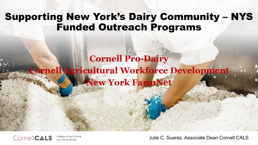## Supporting New York's Dairy Community – NYS Funded Outreach Programs

## **Cornell Pro-Dairy Cornell Agricultural Workforce Development New York FarmNet**



College of Agriculture and Life Sciences

Julie C. Suarez, Associate Dean Cornell CALS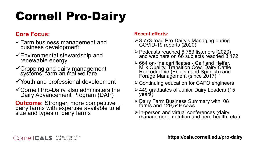# Cornell Pro-Dairy

### **Core Focus:**

- Farm business management and business development:
- Environmental stewardship and renewable energy
- Cropping and dairy management systems, farm animal welfare
- $\checkmark$  Youth and professional development
- Cornell Pro-Dairy also administers the Dairy Advancement Program (DAP)

**Outcome:** Stronger, more competitive<br>dairy farms with expertise available to all size and types of dairy farms

#### **Recent efforts:**

- 3,773 read Pro-Dairy's Managing during COVID-19 reports (2020)
- Podcasts reached 6,783 listeners (2020) and webinars on 66 subjects reached 8,172
- 664 on-line certificates Calf and Heifer, Milk Quality, Transition Cow, Dairy Cattle Reproductive (English and Spanish) and Forage Management (since 2017)
- Continuing education for CAFO engineers
- 449 graduates of Junior Dairy Leaders (15 years)
- ≻ Dairy Farm Business Summary with108 farms and 129,549 cows
- In-person and virtual conferences (dairy management, nutrition and herd health, etc.)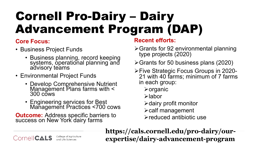## Cornell Pro-Dairy – Dairy Advancement Program (DAP)

### **Core Focus:**

- Business Project Funds
	- Business planning, record keeping systems, operational planning and advisory teams
- Environmental Project Funds
	- Develop Comprehensive Nutrient Management Plans farms with < 300 cows
	- Engineering services for Best Management Practices <700 cows

**Outcome:** Address specific barriers to success on New York dairy farms

## **Recent efforts:**

- Grants for 92 environmental planning type projects (2020)
- Grants for 50 business plans (2020)
- Five Strategic Focus Groups in 2020- 21 with 40 farms; minimum of 7 farms in each group:
	- $\triangleright$  organic
	- labor
	- $\triangleright$  dairy profit monitor
	- $\blacktriangleright$  calf management
	- reduced antibiotic use

**https://cals.cornell.edu/pro-dairy/ourexpertise/dairy-advancement-program**

College of Agriculture **CornelICALS** and Life Science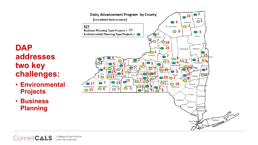

- **Environmental Projects**
- **Business Planning**



College of Agriculture **CornelICALS** and Life Sciences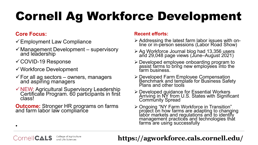# Cornell Ag Workforce Development

### **Core Focus:**

•

CornelICALS

- $\checkmark$  Employment Law Compliance
- $\checkmark$  Management Development supervisory<br>and leadership
- COVID-19 Response
- Workforce Development
- $\checkmark$  For all ag sectors owners, managers and aspiring managers
- NEW: Agricultural Supervisory Leadership Certificate Program. 60 participants in first class!

**Outcome:** Stronger HR programs on farms and farm labor law compliance

College of Agriculture

and Life Sciences

#### **Recent efforts:**

- Addressing the latest farm labor issues with on- line or in-person sessions (Labor Road Show)
- ≻ Ag Workforce Journal blog had 13,356 users and 29,048 page views (June–August 2021)
- Developed employee onboarding program to assist farms to bring new employees into the farm business.
- > Developed Farm Employee Compensation Benchmark and template for Business Safety Plans and other tools
- ≻ Developed guidance for Essential Workers Arriving in NY from U.S. States with Significant **Community Spread**
- ≻ Ongoing "NY Farm Workforce in Transition" project on how farms are adapting to changing labor markets and regulations and to identify management practices and technologies thát farms are using successfully

## **https://agworkforce.cals.cornell.edu/**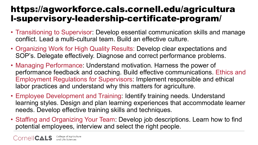## https://agworkforce.cals.cornell.edu/agricultura l-supervisory-leadership-certificate-program/

- Transitioning to Supervisor: Develop essential communication skills and manage conflict. Lead a multi-cultural team. Build an effective culture.
- Organizing Work for High Quality Results: Develop clear expectations and SOP's. Delegate effectively. Diagnose and correct performance problems.
- Managing Performance: Understand motivation. Harness the power of performance feedback and coaching. Build effective communications. Ethics and Employment Regulations for Supervisors: Implement responsible and ethical labor practices and understand why this matters for agriculture.
- Employee Development and Training: Identify training needs. Understand learning styles. Design and plan learning experiences that accommodate learner needs. Develop effective training skills and techniques.
- Staffing and Organizing Your Team: Develop job descriptions. Learn how to find potential employees, interview and select the right people.

College of Agriculture CornelI**CALS**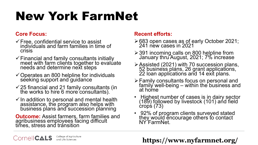## New York FarmNet

#### **Core Focus:**

- $\checkmark$  Free, confidential service to assist individuals and farm families in time of crisis
- Financial and family consultants initially meet with farm clients together to evaluate needs and determine next steps
- $\checkmark$  Operates an 800 helpline for individuals seeking support and guidance
- $\checkmark$  25 financial and 21 family consultants (in the works to hire 6 more consultants).
- $\checkmark$  In addition to personal and mental health assistance, the program also helps with business plans and succession planning

**Outcome:** Assist farmers, farm families and<br>agribusiness employees facing difficult times, stress and tránsition

### **Recent efforts:**

- ≻683 open cases as of early October 2021; 241 new cases in 2021
- 391 incoming calls on 800 helpline from January thru August, 2021; 7% increase
- Assisted (2021) with 70 succession plans, 52 business plans, 26 grant applications, 22 loan applications and 14 exit plans.
- Family consultants focus on personal and family well-being – within the business and at home
- Highest number of cases is in dairy sector (189) followed by livestock (101) and field crops (73)
- 92% of program clients surveyed stated they would encourage others to contact NY FarmNet.

College of Agriculture **CornelICALS** and Life Sciences

**https://www.nyfarmnet.org/**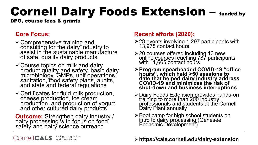## Cornell Dairy Foods Extension – funded by

DPO, course fees & grants

### **Core Focus:**

- Comprehensive training and consulting for the dairy industry to assist in the sustainable manufacture of safe, quality dairy products
- Course topics on milk and dairy product quality and safety, basic dairy microbiology, GMPs, unit operations, sanitation, food safety plans, audits,  $\check{ }$ and state and federal regulations
- Certificates for fluid milk production, cheese production, ice cream production, and production of yogurt and other cultured dairy products

**Outcome:** Strengthen dairy industry /<br>dairy processing with focus on food safety and dairy science outreach

### **Recent efforts (2020):**

- $\geq$  28 events involving 1,297 participants with 13,978 contact hours
- ≻ 20 courses offered including 13 new online courses reaching 787 participants with 11,665 contact hoŭrs
- **Program spearheaded COVID-19 "office hours", which held >50 sessions to date that helped dairy industry address COVID-19 and minimizes the risk of shut-down and business interruptions**
- > Dairy Foods Extension provides hands-on training to more than 200 industry professionals and students at the Cornell Dairy Plant annually
- > Boot camp for high school students on intro to dairy processing (Genesee Economic Development)

Cornell CALS College of Agriculture

#### **https://cals.cornell.edu/dairy-extension**